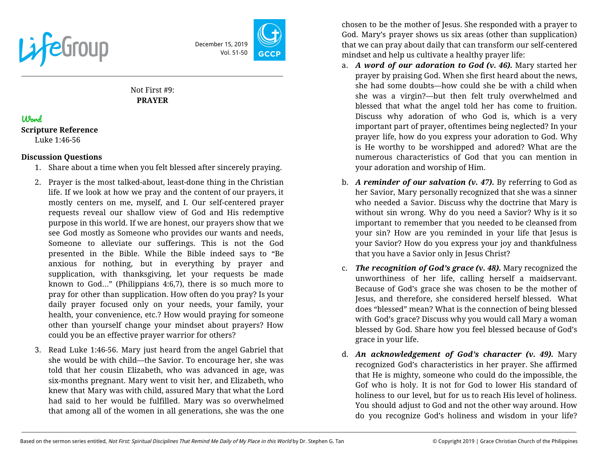

December 15, 2019 Vol. 51-50

# Not First #9: **PRAYER**

# Word

**Scripture Reference**

Luke 1:46-56

## **Discussion Questions**

- 1. Share about a time when you felt blessed after sincerely praying.
- 2. Prayer is the most talked-about, least-done thing in the Christian life. If we look at how we pray and the content of our prayers, it mostly centers on me, myself, and I. Our self-centered prayer requests reveal our shallow view of God and His redemptive purpose in this world. If we are honest, our prayers show that we see God mostly as Someone who provides our wants and needs, Someone to alleviate our sufferings. This is not the God presented in the Bible. While the Bible indeed says to "Be anxious for nothing, but in everything by prayer and supplication, with thanksgiving, let your requests be made known to God…" (Philippians 4:6,7), there is so much more to pray for other than supplication. How often do you pray? Is your daily prayer focused only on your needs, your family, your health, your convenience, etc.? How would praying for someone other than yourself change your mindset about prayers? How could you be an effective prayer warrior for others?
- 3. Read Luke 1:46-56. Mary just heard from the angel Gabriel that she would be with child—the Savior. To encourage her, she was told that her cousin Elizabeth, who was advanced in age, was six-months pregnant. Mary went to visit her, and Elizabeth, who knew that Mary was with child, assured Mary that what the Lord had said to her would be fulfilled. Mary was so overwhelmed that among all of the women in all generations, she was the one

chosen to be the mother of Jesus. She responded with a prayer to God. Mary's prayer shows us six areas (other than supplication) that we can pray about daily that can transform our self-centered mindset and help us cultivate a healthy prayer life:

- a. *A word of our adoration to God (v. 46).* Mary started her prayer by praising God. When she first heard about the news, she had some doubts—how could she be with a child when she was a virgin?—but then felt truly overwhelmed and blessed that what the angel told her has come to fruition. Discuss why adoration of who God is, which is a very important part of prayer, oftentimes being neglected? In your prayer life, how do you express your adoration to God. Why is He worthy to be worshipped and adored? What are the numerous characteristics of God that you can mention in your adoration and worship of Him.
- b. *A reminder of our salvation (v. 47).* By referring to God as her Savior, Mary personally recognized that she was a sinner who needed a Savior. Discuss why the doctrine that Mary is without sin wrong. Why do you need a Savior? Why is it so important to remember that you needed to be cleansed from your sin? How are you reminded in your life that Jesus is your Savior? How do you express your joy and thankfulness that you have a Savior only in Jesus Christ?
- c. *The recognition of God's grace (v. 48).* Mary recognized the unworthiness of her life, calling herself a maidservant. Because of God's grace she was chosen to be the mother of Jesus, and therefore, she considered herself blessed. What does "blessed" mean? What is the connection of being blessed with God's grace? Discuss why you would call Mary a woman blessed by God. Share how you feel blessed because of God's grace in your life.
- d. *An acknowledgement of God's character (v. 49).* Mary recognized God's characteristics in her prayer. She affirmed that He is mighty, someone who could do the impossible, the Gof who is holy. It is not for God to lower His standard of holiness to our level, but for us to reach His level of holiness. You should adjust to God and not the other way around. How do you recognize God's holiness and wisdom in your life?